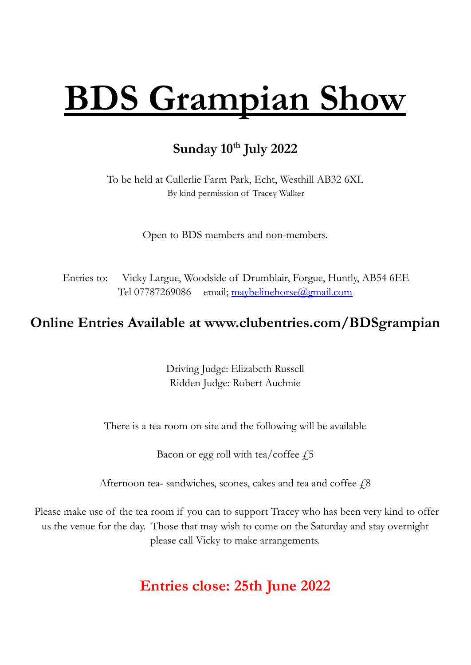# **BDS Grampian Show**

# **Sunday 10th July 2022**

To be held at Cullerlie Farm Park, Echt, Westhill AB32 6XL By kind permission of Tracey Walker

Open to BDS members and non-members.

Entries to: Vicky Largue, Woodside of Drumblair, Forgue, Huntly, AB54 6EE Tel 07787269086 email; [maybelinehorse@gmail.com](mailto:maybelinehorse@gmail.com)

## **Online Entries Available at www.clubentries.com/BDSgrampian**

Driving Judge: Elizabeth Russell Ridden Judge: Robert Auchnie

There is a tea room on site and the following will be available

Bacon or egg roll with tea/coffee  $f$ <sup>5</sup>

Afternoon tea- sandwiches, scones, cakes and tea and coffee  $\zeta_8$ 

Please make use of the tea room if you can to support Tracey who has been very kind to offer us the venue for the day. Those that may wish to come on the Saturday and stay overnight please call Vicky to make arrangements.

# **Entries close: 25th June 2022**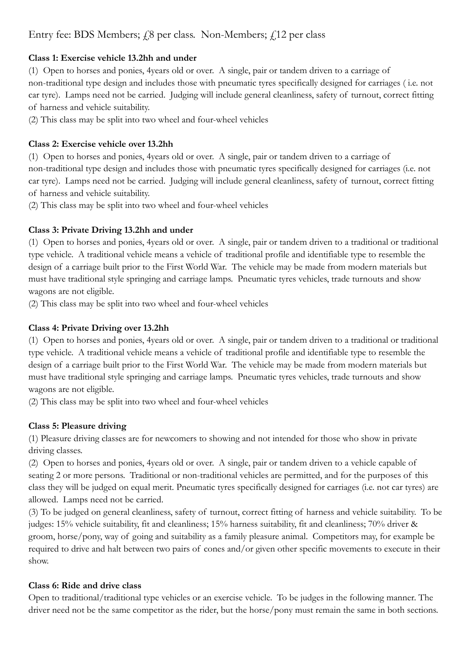## Entry fee: BDS Members;  $f$ 8 per class. Non-Members;  $f$ 12 per class

#### **Class 1: Exercise vehicle 13.2hh and under**

(1) Open to horses and ponies, 4years old or over. A single, pair or tandem driven to a carriage of non-traditional type design and includes those with pneumatic tyres specifically designed for carriages ( i.e. not car tyre). Lamps need not be carried. Judging will include general cleanliness, safety of turnout, correct fitting of harness and vehicle suitability.

(2) This class may be split into two wheel and four-wheel vehicles

#### **Class 2: Exercise vehicle over 13.2hh**

(1) Open to horses and ponies, 4years old or over. A single, pair or tandem driven to a carriage of non-traditional type design and includes those with pneumatic tyres specifically designed for carriages (i.e. not car tyre). Lamps need not be carried. Judging will include general cleanliness, safety of turnout, correct fitting of harness and vehicle suitability.

(2) This class may be split into two wheel and four-wheel vehicles

#### **Class 3: Private Driving 13.2hh and under**

(1) Open to horses and ponies, 4years old or over. A single, pair or tandem driven to a traditional or traditional type vehicle. A traditional vehicle means a vehicle of traditional profile and identifiable type to resemble the design of a carriage built prior to the First World War. The vehicle may be made from modern materials but must have traditional style springing and carriage lamps. Pneumatic tyres vehicles, trade turnouts and show wagons are not eligible.

(2) This class may be split into two wheel and four-wheel vehicles

#### **Class 4: Private Driving over 13.2hh**

(1) Open to horses and ponies, 4years old or over. A single, pair or tandem driven to a traditional or traditional type vehicle. A traditional vehicle means a vehicle of traditional profile and identifiable type to resemble the design of a carriage built prior to the First World War. The vehicle may be made from modern materials but must have traditional style springing and carriage lamps. Pneumatic tyres vehicles, trade turnouts and show wagons are not eligible.

(2) This class may be split into two wheel and four-wheel vehicles

#### **Class 5: Pleasure driving**

(1) Pleasure driving classes are for newcomers to showing and not intended for those who show in private driving classes.

(2) Open to horses and ponies, 4years old or over. A single, pair or tandem driven to a vehicle capable of seating 2 or more persons. Traditional or non-traditional vehicles are permitted, and for the purposes of this class they will be judged on equal merit. Pneumatic tyres specifically designed for carriages (i.e. not car tyres) are allowed. Lamps need not be carried.

(3) To be judged on general cleanliness, safety of turnout, correct fitting of harness and vehicle suitability. To be judges: 15% vehicle suitability, fit and cleanliness; 15% harness suitability, fit and cleanliness; 70% driver & groom, horse/pony, way of going and suitability as a family pleasure animal. Competitors may, for example be required to drive and halt between two pairs of cones and/or given other specific movements to execute in their show.

#### **Class 6: Ride and drive class**

Open to traditional/traditional type vehicles or an exercise vehicle. To be judges in the following manner. The driver need not be the same competitor as the rider, but the horse/pony must remain the same in both sections.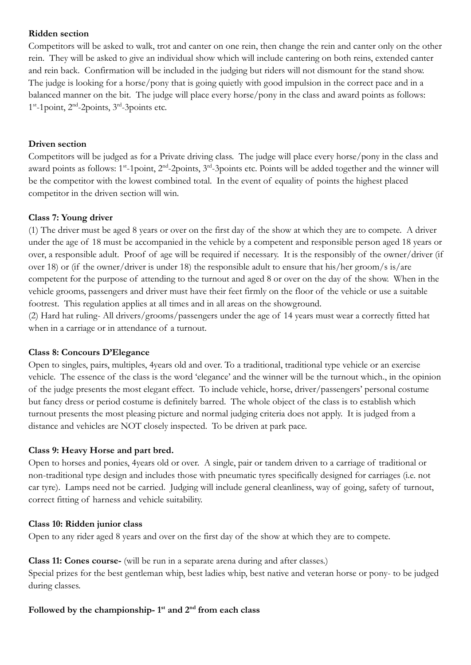#### **Ridden section**

Competitors will be asked to walk, trot and canter on one rein, then change the rein and canter only on the other rein. They will be asked to give an individual show which will include cantering on both reins, extended canter and rein back. Confirmation will be included in the judging but riders will not dismount for the stand show. The judge is looking for a horse/pony that is going quietly with good impulsion in the correct pace and in a balanced manner on the bit. The judge will place every horse/pony in the class and award points as follows: 1<sup>st</sup>-1point, 2<sup>nd</sup>-2points, 3<sup>rd</sup>-3points etc.

#### **Driven section**

Competitors will be judged as for a Private driving class. The judge will place every horse/pony in the class and award points as follows: 1<sup>st</sup>-1point, 2<sup>nd</sup>-2points, 3<sup>rd</sup>-3points etc. Points will be added together and the winner will be the competitor with the lowest combined total. In the event of equality of points the highest placed competitor in the driven section will win.

#### **Class 7: Young driver**

(1) The driver must be aged 8 years or over on the first day of the show at which they are to compete. A driver under the age of 18 must be accompanied in the vehicle by a competent and responsible person aged 18 years or over, a responsible adult. Proof of age will be required if necessary. It is the responsibly of the owner/driver (if over 18) or (if the owner/driver is under 18) the responsible adult to ensure that his/her groom/s is/are competent for the purpose of attending to the turnout and aged 8 or over on the day of the show. When in the vehicle grooms, passengers and driver must have their feet firmly on the floor of the vehicle or use a suitable footrest. This regulation applies at all times and in all areas on the showground.

(2) Hard hat ruling- All drivers/grooms/passengers under the age of 14 years must wear a correctly fitted hat when in a carriage or in attendance of a turnout.

#### **Class 8: Concours D'Elegance**

Open to singles, pairs, multiples, 4years old and over. To a traditional, traditional type vehicle or an exercise vehicle. The essence of the class is the word 'elegance' and the winner will be the turnout which., in the opinion of the judge presents the most elegant effect. To include vehicle, horse, driver/passengers' personal costume but fancy dress or period costume is definitely barred. The whole object of the class is to establish which turnout presents the most pleasing picture and normal judging criteria does not apply. It is judged from a distance and vehicles are NOT closely inspected. To be driven at park pace.

#### **Class 9: Heavy Horse and part bred.**

Open to horses and ponies, 4years old or over. A single, pair or tandem driven to a carriage of traditional or non-traditional type design and includes those with pneumatic tyres specifically designed for carriages (i.e. not car tyre). Lamps need not be carried. Judging will include general cleanliness, way of going, safety of turnout, correct fitting of harness and vehicle suitability.

#### **Class 10: Ridden junior class**

Open to any rider aged 8 years and over on the first day of the show at which they are to compete.

#### **Class 11: Cones course-** (will be run in a separate arena during and after classes.)

Special prizes for the best gentleman whip, best ladies whip, best native and veteran horse or pony- to be judged during classes.

#### **Followed by the championship- 1st and 2nd from each class**